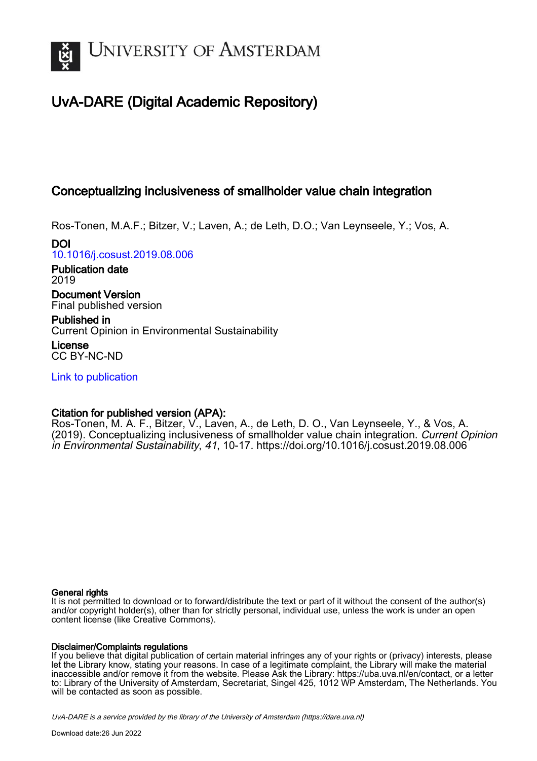

# UvA-DARE (Digital Academic Repository)

# Conceptualizing inclusiveness of smallholder value chain integration

Ros-Tonen, M.A.F.; Bitzer, V.; Laven, A.; de Leth, D.O.; Van Leynseele, Y.; Vos, A.

DOI [10.1016/j.cosust.2019.08.006](https://doi.org/10.1016/j.cosust.2019.08.006)

Publication date 2019

Document Version Final published version

Published in Current Opinion in Environmental Sustainability

License CC BY-NC-ND

[Link to publication](https://dare.uva.nl/personal/pure/en/publications/conceptualizing-inclusiveness-of-smallholder-value-chain-integration(dd0115ff-ffed-4b09-98e3-f37994f17420).html)

# Citation for published version (APA):

Ros-Tonen, M. A. F., Bitzer, V., Laven, A., de Leth, D. O., Van Leynseele, Y., & Vos, A. (2019). Conceptualizing inclusiveness of smallholder value chain integration. Current Opinion in Environmental Sustainability, 41, 10-17.<https://doi.org/10.1016/j.cosust.2019.08.006>

# General rights

It is not permitted to download or to forward/distribute the text or part of it without the consent of the author(s) and/or copyright holder(s), other than for strictly personal, individual use, unless the work is under an open content license (like Creative Commons).

# Disclaimer/Complaints regulations

If you believe that digital publication of certain material infringes any of your rights or (privacy) interests, please let the Library know, stating your reasons. In case of a legitimate complaint, the Library will make the material inaccessible and/or remove it from the website. Please Ask the Library: https://uba.uva.nl/en/contact, or a letter to: Library of the University of Amsterdam, Secretariat, Singel 425, 1012 WP Amsterdam, The Netherlands. You will be contacted as soon as possible.

UvA-DARE is a service provided by the library of the University of Amsterdam (http*s*://dare.uva.nl)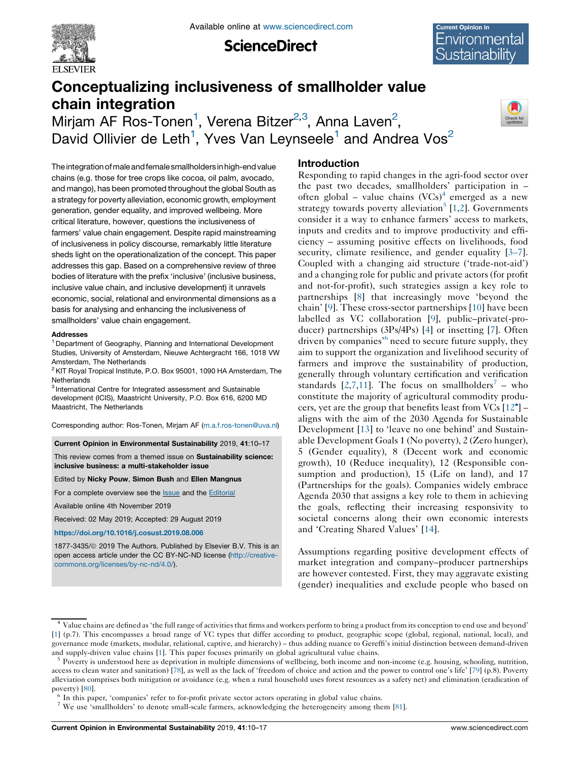

**ScienceDirect** 



# Conceptualizing inclusiveness of smallholder value chain integration

Mirjam AF Ros-Tonen<sup>1</sup>, Verena Bitzer<sup>2,3</sup>, Anna Laven<sup>2</sup>, David Ollivier de Leth<sup>1</sup>, Yves Van Leynseele<sup>1</sup> and Andrea Vos<sup>2</sup>



The integration of male and female smallholders in high-end value chains (e.g. those for tree crops like cocoa, oil palm, avocado, and mango), has been promoted throughout the global South as a strategy for poverty alleviation, economic growth, employment generation, gender equality, and improved wellbeing. More critical literature, however, questions the inclusiveness of farmers' value chain engagement. Despite rapid mainstreaming of inclusiveness in policy discourse, remarkably little literature sheds light on the operationalization of the concept. This paper addresses this gap. Based on a comprehensive review of three bodies of literature with the prefix 'inclusive' (inclusive business, inclusive value chain, and inclusive development) it unravels economic, social, relational and environmental dimensions as a basis for analysing and enhancing the inclusiveness of smallholders' value chain engagement.

#### Addresses

<sup>1</sup> Department of Geography, Planning and International Development Studies, University of Amsterdam, Nieuwe Achtergracht 166, 1018 VW Amsterdam, The Netherlands

<sup>2</sup> KIT Royal Tropical Institute, P.O. Box 95001, 1090 HA Amsterdam, The **Netherlands** 

<sup>3</sup> International Centre for Integrated assessment and Sustainable development (ICIS), Maastricht University, P.O. Box 616, 6200 MD Maastricht, The Netherlands

Corresponding author: Ros-Tonen, Mirjam AF [\(m.a.f.ros-tonen@uva.nl\)](mailto:m.a.f.ros-tonen@uva.nl)

#### Current Opinion in Environmental Sustainability 2019, 41:10–17

This review comes from a themed issue on Sustainability science: inclusive business: a multi-stakeholder issue

#### Edited by Nicky Pouw, Simon Bush and Ellen Mangnus

For a complete overview see the [Issue](http://www.sciencedirect.com/science/journal/18773435/41) and the [Editorial](https://doi.org/10.1016/j.cosust.2019.12.002)

Available online 4th November 2019

Received: 02 May 2019; Accepted: 29 August 2019

#### <https://doi.org/10.1016/j.cosust.2019.08.006>

1877-3435/© 2019 The Authors. Published by Elsevier B.V. This is an open access article under the CC BY-NC-ND license [\(http://creative](http://creativecommons.org/licenses/by-nc-nd/4.0/)[commons.org/licenses/by-nc-nd/4.0/](http://creativecommons.org/licenses/by-nc-nd/4.0/)).

## Introduction

Responding to rapid changes in the agri-food sector over the past two decades, smallholders' participation in – often global – value chains  $(VCs)^4$  emerged as a new strategy towards poverty alleviation<sup>5</sup> [\[1](#page-6-0),[2\]](#page-6-0). Governments consider it a way to enhance farmers' access to markets, inputs and credits and to improve productivity and efficiency – assuming positive effects on livelihoods, food security, climate resilience, and gender equality [[3–7](#page-6-0)]. Coupled with a changing aid structure ('trade-not-aid') and a changing role for public and private actors (for profit and not-for-profit), such strategies assign a key role to partnerships [[8\]](#page-6-0) that increasingly move 'beyond the chain' [\[9](#page-6-0)]. These cross-sector partnerships [[10\]](#page-6-0) have been labelled as VC collaboration [[9\]](#page-6-0), public–private(-producer) partnerships (3Ps/4Ps) [[4\]](#page-6-0) or insetting [[7\]](#page-6-0). Often driven by companies<sup>'6</sup> need to secure future supply, they aim to support the organization and livelihood security of farmers and improve the sustainability of production, generally through voluntary certification and verification standards [\[2](#page-6-0),[7,11](#page-6-0)]. The focus on smallholders<sup>7</sup> – who constitute the majority of agricultural commodity producers, yet are the group that benefits least from VCs [\[12](#page-6-0) ] – aligns with the aim of the 2030 Agenda for Sustainable Development [\[13](#page-6-0)] to 'leave no one behind' and Sustainable Development Goals 1 (No poverty), 2 (Zero hunger), 5 (Gender equality), 8 (Decent work and economic growth), 10 (Reduce inequality), 12 (Responsible consumption and production), 15 (Life on land), and 17 (Partnerships for the goals). Companies widely embrace Agenda 2030 that assigns a key role to them in achieving the goals, reflecting their increasing responsivity to societal concerns along their own economic interests and 'Creating Shared Values' [\[14](#page-6-0)].

Assumptions regarding positive development effects of market integration and company–producer partnerships are however contested. First, they may aggravate existing (gender) inequalities and exclude people who based on

<sup>4</sup> Value chains are defined as 'the full range of activities that firms and workers perform to bring a product from its conception to end use and beyond' [[1](#page-6-0)] (p.7). This encompasses a broad range of VC types that differ according to product, geographic scope (global, regional, national, local), and governance mode (markets, modular, relational, captive, and hierarchy) – thus adding nuance to Gereffi's initial distinction between demand-driven and supply-driven value chains [\[1](#page-6-0)]. This paper focuses primarily on global agricultural value chains.<br><sup>5</sup> Poverty is understood here as deprivation in multiple dimensions of wellbeing, both income and non-income (e.g. hou

access to clean water and sanitation) [[78\]](#page-8-0), as well as the lack of 'freedom of choice and action and the power to control one's life' [[79\]](#page-8-0) (p.8). Poverty alleviation comprises both mitigation or avoidance (e.g. when a rural household uses forest resources as a safety net) and elimination (eradication of poverty) [\[80](#page-8-0)]. <sup>6</sup> In this paper, 'companies' refer to for-profit private sector actors operating in global value chains. <sup>6</sup> In this paper, 'companies' to denote small-scale farmers, acknowledging the heterogeneity among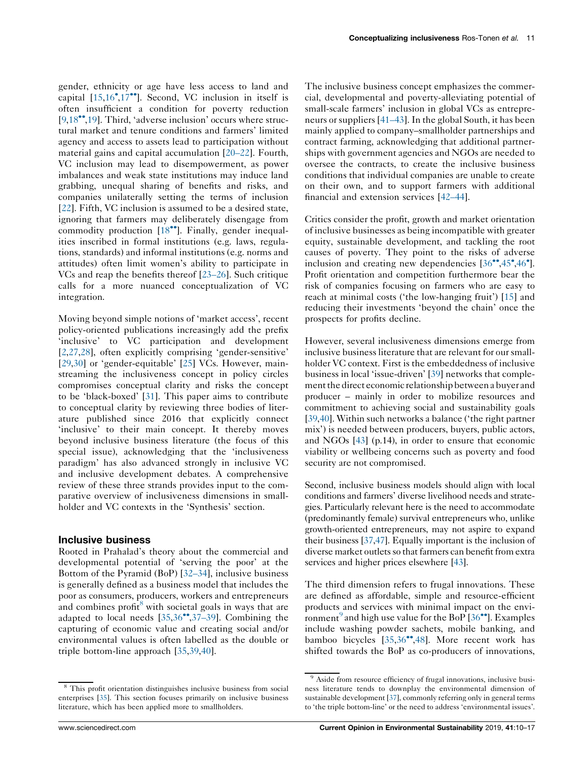gender, ethnicity or age have less access to land and capital  $[15, 16^\circ, 17^\bullet]$  $[15, 16^\circ, 17^\bullet]$  $[15, 16^\circ, 17^\bullet]$  $[15, 16^\circ, 17^\bullet]$  $[15, 16^\circ, 17^\bullet]$  $[15, 16^\circ, 17^\bullet]$ . Second, VC inclusion in itself is often insufficient a condition for poverty reduction  $[9,18\degree$  $[9,18\degree$  $[9,18\degree$  $[9,18\degree$ , 19]. Third, 'adverse inclusion' occurs where structural market and tenure conditions and farmers' limited agency and access to assets lead to participation without material gains and capital accumulation [[20–22\]](#page-6-0). Fourth, VC inclusion may lead to disempowerment, as power imbalances and weak state institutions may induce land grabbing, unequal sharing of benefits and risks, and companies unilaterally setting the terms of inclusion [\[22](#page-6-0)]. Fifth, VC inclusion is assumed to be a desired state, ignoring that farmers may deliberately disengage from commodity production  $[18\textdegree]$  $[18\textdegree]$ . Finally, gender inequalities inscribed in formal institutions (e.g. laws, regulations, standards) and informal institutions (e.g. norms and attitudes) often limit women's ability to participate in VCs and reap the benefits thereof [[23–26\]](#page-6-0). Such critique calls for a more nuanced conceptualization of VC integration.

Moving beyond simple notions of 'market access', recent policy-oriented publications increasingly add the prefix 'inclusive' to VC participation and development [\[2](#page-6-0),[27,28](#page-6-0)], often explicitly comprising 'gender-sensitive' [\[29](#page-6-0),[30\]](#page-6-0) or 'gender-equitable' [[25\]](#page-6-0) VCs. However, mainstreaming the inclusiveness concept in policy circles compromises conceptual clarity and risks the concept to be 'black-boxed' [[31\]](#page-6-0). This paper aims to contribute to conceptual clarity by reviewing three bodies of literature published since 2016 that explicitly connect 'inclusive' to their main concept. It thereby moves beyond inclusive business literature (the focus of this special issue), acknowledging that the 'inclusiveness paradigm' has also advanced strongly in inclusive VC and inclusive development debates. A comprehensive review of these three strands provides input to the comparative overview of inclusiveness dimensions in smallholder and VC contexts in the 'Synthesis' section.

# Inclusive business

Rooted in Prahalad's theory about the commercial and developmental potential of 'serving the poor' at the Bottom of the Pyramid (BoP) [\[32–34](#page-6-0)], inclusive business is generally defined as a business model that includes the poor as consumers, producers, workers and entrepreneurs and combines profit<sup>8</sup> with societal goals in ways that are adapted to local needs  $[35,36^{\bullet\bullet},37-39]$  $[35,36^{\bullet\bullet},37-39]$  $[35,36^{\bullet\bullet},37-39]$  $[35,36^{\bullet\bullet},37-39]$ . Combining the capturing of economic value and creating social and/or environmental values is often labelled as the double or triple bottom-line approach [\[35](#page-6-0),[39,40](#page-7-0)].

The inclusive business concept emphasizes the commercial, developmental and poverty-alleviating potential of small-scale farmers' inclusion in global VCs as entrepreneurs or suppliers [[41–43\]](#page-7-0). In the global South, it has been mainly applied to company–smallholder partnerships and contract farming, acknowledging that additional partnerships with government agencies and NGOs are needed to oversee the contracts, to create the inclusive business conditions that individual companies are unable to create on their own, and to support farmers with additional financial and extension services [\[42–44](#page-7-0)].

Critics consider the profit, growth and market orientation of inclusive businesses as being incompatible with greater equity, sustainable development, and tackling the root causes of poverty. They point to the risks of adverse inclusion and creating new dependencies  $[36^{\circ\bullet}, 45^{\circ}, 46^{\circ}]$  $[36^{\circ\bullet}, 45^{\circ}, 46^{\circ}]$  $[36^{\circ\bullet}, 45^{\circ}, 46^{\circ}]$  $[36^{\circ\bullet}, 45^{\circ}, 46^{\circ}]$  $[36^{\circ\bullet}, 45^{\circ}, 46^{\circ}]$ . Profit orientation and competition furthermore bear the risk of companies focusing on farmers who are easy to reach at minimal costs ('the low-hanging fruit') [\[15](#page-6-0)] and reducing their investments 'beyond the chain' once the prospects for profits decline.

However, several inclusiveness dimensions emerge from inclusive business literature that are relevant for our smallholder VC context. First is the embeddedness of inclusive business in local 'issue-driven' [[39\]](#page-7-0) networks that complement the direct economic relationship between a buyer and producer – mainly in order to mobilize resources and commitment to achieving social and sustainability goals [\[39](#page-7-0),[40\]](#page-7-0). Within such networks a balance ('the right partner mix') is needed between producers, buyers, public actors, and NGOs [\[43](#page-7-0)] (p.14), in order to ensure that economic viability or wellbeing concerns such as poverty and food security are not compromised.

Second, inclusive business models should align with local conditions and farmers' diverse livelihood needs and strategies. Particularly relevant here is the need to accommodate (predominantly female) survival entrepreneurs who, unlike growth-oriented entrepreneurs, may not aspire to expand their business [\[37,47\]](#page-7-0). Equally important is the inclusion of diverse market outlets so that farmers can benefit from extra services and higher prices elsewhere [[43](#page-7-0)].

The third dimension refers to frugal innovations. These are defined as affordable, simple and resource-efficient products and services with minimal impact on the environment<sup>9</sup> and high use value for the BoP  $[36\text{°}$  $[36\text{°}$ . Examples include washing powder sachets, mobile banking, and bamboo bicycles [[35,36](#page-6-0)<sup>\*</sup>,[48\]](#page-7-0). More recent work has shifted towards the BoP as co-producers of innovations,

<sup>8</sup> This profit orientation distinguishes inclusive business from social enterprises [[35\]](#page-6-0). This section focuses primarily on inclusive business literature, which has been applied more to smallholders.

 $\frac{9}{9}$  Aside from resource efficiency of frugal innovations, inclusive business literature tends to downplay the environmental dimension of sustainable development [\[37](#page-7-0)], commonly referring only in general terms to 'the triple bottom-line' or the need to address 'environmental issues'.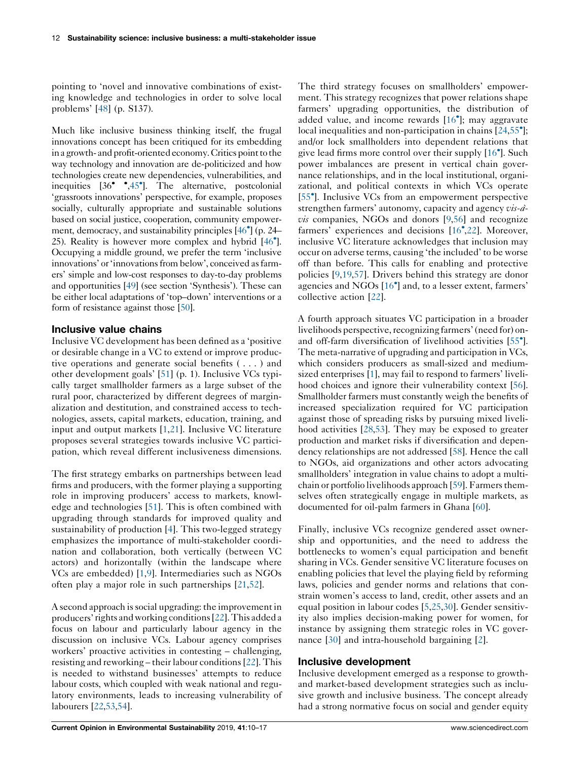pointing to 'novel and innovative combinations of existing knowledge and technologies in order to solve local problems' [[48\]](#page-7-0) (p. S137).

Much like inclusive business thinking itself, the frugal innovations concept has been critiqued for its embedding in a growth- and profit-oriented economy. Critics point to the way technology and innovation are de-politicized and how technologies create new dependencies, vulnerabilities, and inequities [36 ,[45](#page-7-0) ]. The alternative, postcolonial 'grassroots innovations' perspective, for example, proposes socially, culturally appropriate and sustainable solutions based on social justice, cooperation, community empowerment, democracy, and sustainability principles [[46](#page-7-0) ] (p. 24– 25). Reality is however more complex and hybrid [\[46](#page-7-0) ]. Occupying a middle ground, we prefer the term 'inclusive innovations' or 'innovations from below', conceived as farmers' simple and low-cost responses to day-to-day problems and opportunities [\[49\]](#page-7-0) (see section 'Synthesis'). These can be either local adaptations of 'top–down' interventions or a form of resistance against those [[50](#page-7-0)].

## Inclusive value chains

Inclusive VC development has been defined as a 'positive or desirable change in a VC to extend or improve productive operations and generate social benefits ( . . . ) and other development goals' [[51\]](#page-7-0) (p. 1). Inclusive VCs typically target smallholder farmers as a large subset of the rural poor, characterized by different degrees of marginalization and destitution, and constrained access to technologies, assets, capital markets, education, training, and input and output markets [[1,21](#page-6-0)]. Inclusive VC literature proposes several strategies towards inclusive VC participation, which reveal different inclusiveness dimensions.

The first strategy embarks on partnerships between lead firms and producers, with the former playing a supporting role in improving producers' access to markets, knowledge and technologies [[51\]](#page-7-0). This is often combined with upgrading through standards for improved quality and sustainability of production [\[4](#page-6-0)]. This two-legged strategy emphasizes the importance of multi-stakeholder coordination and collaboration, both vertically (between VC actors) and horizontally (within the landscape where VCs are embedded) [[1,9](#page-6-0)]. Intermediaries such as NGOs often play a major role in such partnerships [[21](#page-6-0)[,52](#page-7-0)].

A second approach issocial upgrading: the improvement in producers'rights andworking conditions[\[22](#page-6-0)].This added a focus on labour and particularly labour agency in the discussion on inclusive VCs. Labour agency comprises workers' proactive activities in contesting – challenging, resisting and reworking – their labour conditions[[22\]](#page-6-0). This is needed to withstand businesses' attempts to reduce labour costs, which coupled with weak national and regulatory environments, leads to increasing vulnerability of labourers [\[22](#page-6-0)[,53](#page-7-0),[54\]](#page-7-0).

The third strategy focuses on smallholders' empowerment. This strategy recognizes that power relations shape farmers' upgrading opportunities, the distribution of added value, and income rewards [[16](#page-6-0)<sup>°</sup>]; may aggravate local inequalities and non-participation in chains [[24,](#page-6-0)[55](#page-7-0)<sup>°</sup>]; and/or lock smallholders into dependent relations that give lead firms more control over their supply [[16](#page-6-0) ]. Such power imbalances are present in vertical chain governance relationships, and in the local institutional, organizational, and political contexts in which VCs operate [\[55](#page-7-0) ]. Inclusive VCs from an empowerment perspective strengthen farmers' autonomy, capacity and agency *vis-à*vis companies, NGOs and donors [[9](#page-6-0)[,56](#page-7-0)] and recognize farmers' experiences and decisions [[16](#page-6-0)<sup>•</sup>[,22](#page-6-0)]. Moreover, inclusive VC literature acknowledges that inclusion may occur on adverse terms, causing 'the included' to be worse off than before. This calls for enabling and protective policies [[9,19](#page-6-0),[57\]](#page-7-0). Drivers behind this strategy are donor agencies and NGOs [\[16](#page-6-0) ] and, to a lesser extent, farmers' collective action [\[22](#page-6-0)].

A fourth approach situates VC participation in a broader livelihoods perspective, recognizing farmers' (need for) onand off-farm diversification of livelihood activities [\[55](#page-7-0) ]. The meta-narrative of upgrading and participation in VCs, which considers producers as small-sized and mediumsized enterprises [\[1](#page-6-0)], may fail to respond to farmers' livelihood choices and ignore their vulnerability context [[56\]](#page-7-0). Smallholder farmers must constantly weigh the benefits of increased specialization required for VC participation against those of spreading risks by pursuing mixed livelihood activities [[28](#page-6-0),[53\]](#page-7-0). They may be exposed to greater production and market risks if diversification and dependency relationships are not addressed [\[58](#page-7-0)]. Hence the call to NGOs, aid organizations and other actors advocating smallholders' integration in value chains to adopt a multi-chain or portfolio livelihoods approach [[59](#page-7-0)]. Farmers themselves often strategically engage in multiple markets, as documented for oil-palm farmers in Ghana [[60](#page-7-0)].

Finally, inclusive VCs recognize gendered asset ownership and opportunities, and the need to address the bottlenecks to women's equal participation and benefit sharing in VCs. Gender sensitive VC literature focuses on enabling policies that level the playing field by reforming laws, policies and gender norms and relations that constrain women's access to land, credit, other assets and an equal position in labour codes [[5,25](#page-6-0),[30\]](#page-6-0). Gender sensitivity also implies decision-making power for women, for instance by assigning them strategic roles in VC governance [[30\]](#page-6-0) and intra-household bargaining [[2\]](#page-6-0).

#### Inclusive development

Inclusive development emerged as a response to growthand market-based development strategies such as inclusive growth and inclusive business. The concept already had a strong normative focus on social and gender equity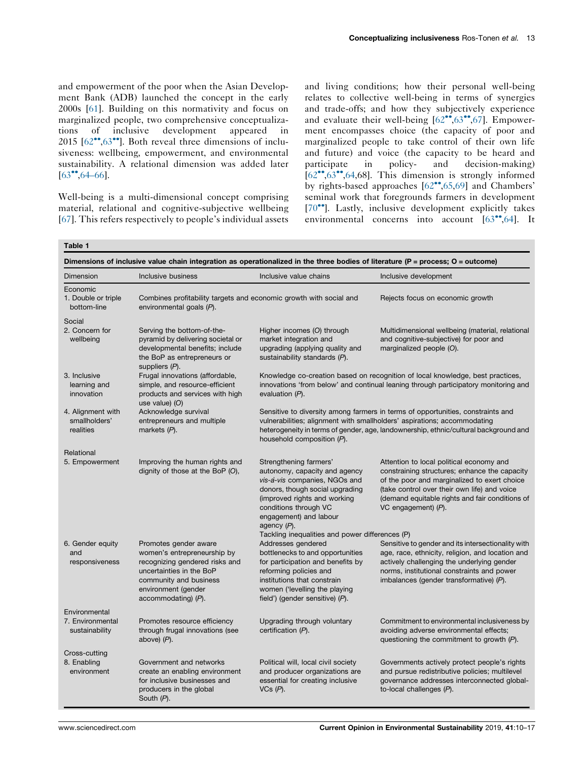<span id="page-4-0"></span>and empowerment of the poor when the Asian Development Bank (ADB) launched the concept in the early 2000s [[61\]](#page-7-0). Building on this normativity and focus on marginalized people, two comprehensive conceptualizations of inclusive development appeared in 2015  $[62^{\bullet\bullet}, 63^{\bullet\bullet}]$  $[62^{\bullet\bullet}, 63^{\bullet\bullet}]$  $[62^{\bullet\bullet}, 63^{\bullet\bullet}]$ . Both reveal three dimensions of inclusiveness: wellbeing, empowerment, and environmental sustainability. A relational dimension was added later  $[63^{\bullet\bullet}, 64-66]$  $[63^{\bullet\bullet}, 64-66]$ .

Well-being is a multi-dimensional concept comprising material, relational and cognitive-subjective wellbeing [\[67](#page-7-0)]. This refers respectively to people's individual assets

and living conditions; how their personal well-being relates to collective well-being in terms of synergies and trade-offs; and how they subjectively experience and evaluate their well-being  $[62^{\bullet\bullet}, 63^{\bullet\bullet}, 67]$  $[62^{\bullet\bullet}, 63^{\bullet\bullet}, 67]$  $[62^{\bullet\bullet}, 63^{\bullet\bullet}, 67]$ . Empowerment encompasses choice (the capacity of poor and marginalized people to take control of their own life and future) and voice (the capacity to be heard and participate in policy- and decision-making)  $[62^{\bullet\bullet}, 63^{\bullet\bullet}, 64, 68]$  $[62^{\bullet\bullet}, 63^{\bullet\bullet}, 64, 68]$  $[62^{\bullet\bullet}, 63^{\bullet\bullet}, 64, 68]$  $[62^{\bullet\bullet}, 63^{\bullet\bullet}, 64, 68]$  $[62^{\bullet\bullet}, 63^{\bullet\bullet}, 64, 68]$ . This dimension is strongly informed by rights-based approaches  $[62^{\bullet\bullet}, 65, 69]$  $[62^{\bullet\bullet}, 65, 69]$  and Chambers' seminal work that foregrounds farmers in development  $[70\text{°}]$  $[70\text{°}]$  $[70\text{°}]$ . Lastly, inclusive development explicitly takes environmental concerns into account  $[63\text{''}^\bullet, 64]$  $[63\text{''}^\bullet, 64]$  $[63\text{''}^\bullet, 64]$ . It

| Dimensions of inclusive value chain integration as operationalized in the three bodies of literature ( $P =$ process; $O =$ outcome) |                                                                                                                                                                                               |                                                                                                                                                                                                                                                                                   |                                                                                                                                                                                                                                                                        |
|--------------------------------------------------------------------------------------------------------------------------------------|-----------------------------------------------------------------------------------------------------------------------------------------------------------------------------------------------|-----------------------------------------------------------------------------------------------------------------------------------------------------------------------------------------------------------------------------------------------------------------------------------|------------------------------------------------------------------------------------------------------------------------------------------------------------------------------------------------------------------------------------------------------------------------|
| Dimension                                                                                                                            | Inclusive business                                                                                                                                                                            | Inclusive value chains                                                                                                                                                                                                                                                            | Inclusive development                                                                                                                                                                                                                                                  |
| Economic<br>1. Double or triple<br>bottom-line                                                                                       | Combines profitability targets and economic growth with social and<br>environmental goals $(P)$ .                                                                                             |                                                                                                                                                                                                                                                                                   | Rejects focus on economic growth                                                                                                                                                                                                                                       |
| Social<br>2. Concern for<br>wellbeing                                                                                                | Serving the bottom-of-the-<br>pyramid by delivering societal or<br>developmental benefits; include<br>the BoP as entrepreneurs or<br>suppliers $(P)$ .                                        | Higher incomes (O) through<br>market integration and<br>upgrading (applying quality and<br>sustainability standards (P).                                                                                                                                                          | Multidimensional wellbeing (material, relational<br>and cognitive-subjective) for poor and<br>marginalized people (O).                                                                                                                                                 |
| 3. Inclusive<br>learning and<br>innovation                                                                                           | Frugal innovations (affordable,<br>simple, and resource-efficient<br>products and services with high<br>use value) $(O)$                                                                      | Knowledge co-creation based on recognition of local knowledge, best practices,<br>innovations 'from below' and continual leaning through participatory monitoring and<br>evaluation $(P)$ .                                                                                       |                                                                                                                                                                                                                                                                        |
| 4. Alignment with<br>smallholders'<br>realities                                                                                      | Acknowledge survival<br>entrepreneurs and multiple<br>markets $(P)$ .                                                                                                                         | Sensitive to diversity among farmers in terms of opportunities, constraints and<br>vulnerabilities; alignment with smallholders' aspirations; accommodating<br>heterogeneity in terms of gender, age, landownership, ethnic/cultural background and<br>household composition (P). |                                                                                                                                                                                                                                                                        |
| Relational                                                                                                                           |                                                                                                                                                                                               |                                                                                                                                                                                                                                                                                   |                                                                                                                                                                                                                                                                        |
| 5. Empowerment                                                                                                                       | Improving the human rights and<br>dignity of those at the BoP (O),                                                                                                                            | Strengthening farmers'<br>autonomy, capacity and agency<br>vis-à-vis companies, NGOs and<br>donors, though social upgrading<br>(improved rights and working<br>conditions through VC<br>engagement) and labour<br>agency $(P)$ .                                                  | Attention to local political economy and<br>constraining structures; enhance the capacity<br>of the poor and marginalized to exert choice<br>(take control over their own life) and voice<br>(demand equitable rights and fair conditions of<br>VC engagement) $(P)$ . |
| 6. Gender equity<br>and<br>responsiveness                                                                                            | Promotes gender aware<br>women's entrepreneurship by<br>recognizing gendered risks and<br>uncertainties in the BoP<br>community and business<br>environment (gender<br>accommodating) $(P)$ . | Tackling inequalities and power differences (P)<br>Addresses gendered<br>bottlenecks to and opportunities<br>for participation and benefits by<br>reforming policies and<br>institutions that constrain<br>women ('levelling the playing<br>field') (gender sensitive) (P).       | Sensitive to gender and its intersectionality with<br>age, race, ethnicity, religion, and location and<br>actively challenging the underlying gender<br>norms, institutional constraints and power<br>imbalances (gender transformative) (P).                          |
| Environmental<br>7. Environmental<br>sustainability                                                                                  | Promotes resource efficiency<br>through frugal innovations (see<br>above) $(P)$ .                                                                                                             | Upgrading through voluntary<br>certification $(P)$ .                                                                                                                                                                                                                              | Commitment to environmental inclusiveness by<br>avoiding adverse environmental effects;<br>questioning the commitment to growth $(P)$ .                                                                                                                                |
| Cross-cutting<br>8. Enabling<br>environment                                                                                          | Government and networks<br>create an enabling environment<br>for inclusive businesses and<br>producers in the global<br>South $(P)$ .                                                         | Political will, local civil society<br>and producer organizations are<br>essential for creating inclusive<br>$VCs(P)$ .                                                                                                                                                           | Governments actively protect people's rights<br>and pursue redistributive policies; multilevel<br>governance addresses interconnected global-<br>to-local challenges $(P)$ .                                                                                           |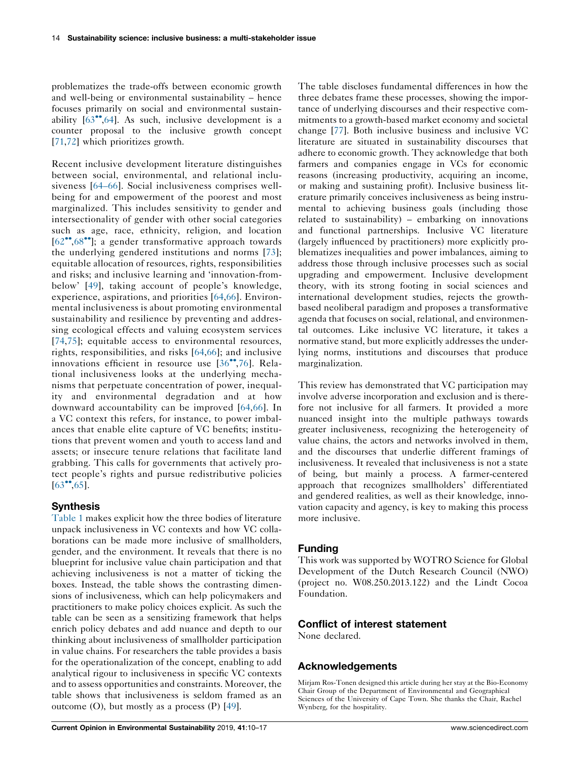problematizes the trade-offs between economic growth and well-being or environmental sustainability – hence focuses primarily on social and environmental sustainability  $[63^{\bullet\bullet}, 64]$  $[63^{\bullet\bullet}, 64]$  $[63^{\bullet\bullet}, 64]$ . As such, inclusive development is a counter proposal to the inclusive growth concept [\[71](#page-8-0),[72\]](#page-8-0) which prioritizes growth.

Recent inclusive development literature distinguishes between social, environmental, and relational inclusiveness [\[64–66](#page-7-0)]. Social inclusiveness comprises wellbeing for and empowerment of the poorest and most marginalized. This includes sensitivity to gender and intersectionality of gender with other social categories such as age, race, ethnicity, religion, and location  $[62^{\bullet\bullet}, 68^{\bullet\bullet}]$  $[62^{\bullet\bullet}, 68^{\bullet\bullet}]$ ; a gender transformative approach towards the underlying gendered institutions and norms [[73](#page-8-0)]; equitable allocation of resources, rights, responsibilities and risks; and inclusive learning and 'innovation-frombelow' [[49](#page-7-0)], taking account of people's knowledge, experience, aspirations, and priorities [\[64,66\]](#page-7-0). Environmental inclusiveness is about promoting environmental sustainability and resilience by preventing and addressing ecological effects and valuing ecosystem services [\[74,75\]](#page-8-0); equitable access to environmental resources, rights, responsibilities, and risks [[64](#page-7-0),[66](#page-7-0)]; and inclusive innovations efficient in resource use  $[36$ <sup>\*</sup>[,76\]](#page-8-0). Relational inclusiveness looks at the underlying mechanisms that perpetuate concentration of power, inequality and environmental degradation and at how downward accountability can be improved [\[64,66\]](#page-7-0). In a VC context this refers, for instance, to power imbalances that enable elite capture of VC benefits; institutions that prevent women and youth to access land and assets; or insecure tenure relations that facilitate land grabbing. This calls for governments that actively protect people's rights and pursue redistributive policies  $[63^{\bullet\bullet}, 65]$  $[63^{\bullet\bullet}, 65]$ .

## Synthesis

[Table](#page-4-0) 1 makes explicit how the three bodies of literature unpack inclusiveness in VC contexts and how VC collaborations can be made more inclusive of smallholders, gender, and the environment. It reveals that there is no blueprint for inclusive value chain participation and that achieving inclusiveness is not a matter of ticking the boxes. Instead, the table shows the contrasting dimensions of inclusiveness, which can help policymakers and practitioners to make policy choices explicit. As such the table can be seen as a sensitizing framework that helps enrich policy debates and add nuance and depth to our thinking about inclusiveness of smallholder participation in value chains. For researchers the table provides a basis for the operationalization of the concept, enabling to add analytical rigour to inclusiveness in specific VC contexts and to assess opportunities and constraints. Moreover, the table shows that inclusiveness is seldom framed as an outcome (O), but mostly as a process (P) [\[49\]](#page-7-0).

The table discloses fundamental differences in how the three debates frame these processes, showing the importance of underlying discourses and their respective commitments to a growth-based market economy and societal change [[77\]](#page-8-0). Both inclusive business and inclusive VC literature are situated in sustainability discourses that adhere to economic growth. They acknowledge that both farmers and companies engage in VCs for economic reasons (increasing productivity, acquiring an income, or making and sustaining profit). Inclusive business literature primarily conceives inclusiveness as being instrumental to achieving business goals (including those related to sustainability) – embarking on innovations and functional partnerships. Inclusive VC literature (largely influenced by practitioners) more explicitly problematizes inequalities and power imbalances, aiming to address those through inclusive processes such as social upgrading and empowerment. Inclusive development theory, with its strong footing in social sciences and international development studies, rejects the growthbased neoliberal paradigm and proposes a transformative agenda that focuses on social, relational, and environmental outcomes. Like inclusive VC literature, it takes a normative stand, but more explicitly addresses the underlying norms, institutions and discourses that produce marginalization.

This review has demonstrated that VC participation may involve adverse incorporation and exclusion and is therefore not inclusive for all farmers. It provided a more nuanced insight into the multiple pathways towards greater inclusiveness, recognizing the heterogeneity of value chains, the actors and networks involved in them, and the discourses that underlie different framings of inclusiveness. It revealed that inclusiveness is not a state of being, but mainly a process. A farmer-centered approach that recognizes smallholders' differentiated and gendered realities, as well as their knowledge, innovation capacity and agency, is key to making this process more inclusive.

## Funding

This work was supported by WOTRO Science for Global Development of the Dutch Research Council (NWO) (project no. W08.250.2013.122) and the Lindt Cocoa Foundation.

## Conflict of interest statement

None declared.

#### Acknowledgements

Mirjam Ros-Tonen designed this article during her stay at the Bio-Economy Chair Group of the Department of Environmental and Geographical Sciences of the University of Cape Town. She thanks the Chair, Rachel Wynberg, for the hospitality.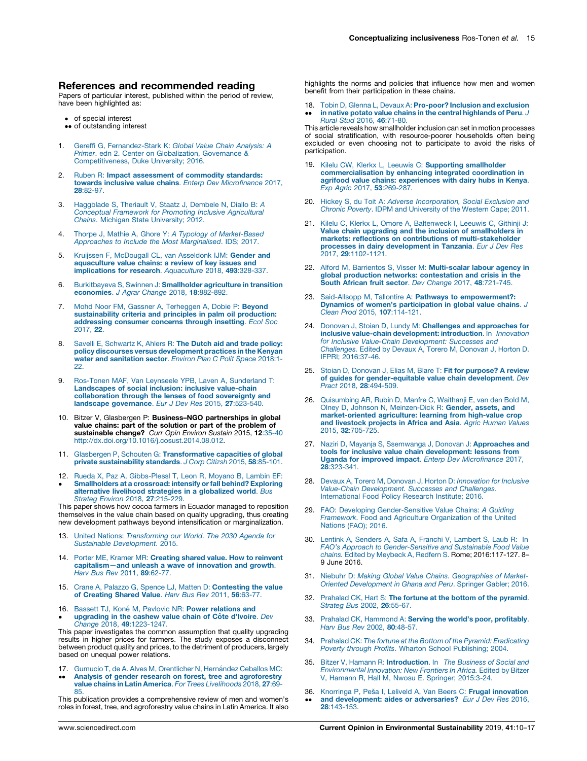#### <span id="page-6-0"></span>References and recommended reading

Papers of particular interest, published within the period of review, have been highlighted as:

- of special interest
- •• of outstanding interest
- Gereffi G, [Fernandez-Stark](http://refhub.elsevier.com/S1877-3435(19)30063-6/sbref0005) K: Global Value Chain Analysis: A Primer. edn 2. Center on [Globalization,](http://refhub.elsevier.com/S1877-3435(19)30063-6/sbref0005) Governance & [Competitiveness,](http://refhub.elsevier.com/S1877-3435(19)30063-6/sbref0005) Duke University; 2016.
- Ruben R: Impact [assessment](http://refhub.elsevier.com/S1877-3435(19)30063-6/sbref0010) of commodity standards: towards inclusive value chains. Enterp Dev [Microfinance](http://refhub.elsevier.com/S1877-3435(19)30063-6/sbref0010) 2017, 28[:82-97.](http://refhub.elsevier.com/S1877-3435(19)30063-6/sbref0010)
- 3. [Haggblade](http://refhub.elsevier.com/S1877-3435(19)30063-6/sbref0015) S, Theriault V, Staatz J, Dembele N, Diallo B: A [Conceptual](http://refhub.elsevier.com/S1877-3435(19)30063-6/sbref0015) Framework for Promoting Inclusive Agricultural Chains. Michigan State [University;](http://refhub.elsevier.com/S1877-3435(19)30063-6/sbref0015) 2012.
- 4. Thorpe J, Mathie A, Ghore Y: A Typology of [Market-Based](http://refhub.elsevier.com/S1877-3435(19)30063-6/sbref0020) Approaches to Include the Most [Marginalised](http://refhub.elsevier.com/S1877-3435(19)30063-6/sbref0020). IDS; 2017.
- 5. Kruijssen F, [McDougall](http://refhub.elsevier.com/S1877-3435(19)30063-6/sbref0025) CL, van Asseldonk IJM: Gender and [aquaculture](http://refhub.elsevier.com/S1877-3435(19)30063-6/sbref0025) value chains: a review of key issues and [implications](http://refhub.elsevier.com/S1877-3435(19)30063-6/sbref0025) for research. Aquaculture 2018, 493:328-337.
- 6. [Burkitbayeva](http://refhub.elsevier.com/S1877-3435(19)30063-6/sbref0030) S, Swinnen J: Smallholder agriculture in transition [economies](http://refhub.elsevier.com/S1877-3435(19)30063-6/sbref0030). J Agrar Change 2018, 18:882-892.
- 7. Mohd Noor FM, Gassner A, [Terheggen](http://refhub.elsevier.com/S1877-3435(19)30063-6/sbref0035) A, Dobie P: Beyond [sustainability](http://refhub.elsevier.com/S1877-3435(19)30063-6/sbref0035) criteria and principles in palm oil production: [addressing](http://refhub.elsevier.com/S1877-3435(19)30063-6/sbref0035) consumer concerns through insetting. Ecol Soc [2017,](http://refhub.elsevier.com/S1877-3435(19)30063-6/sbref0035) 22.
- Savelli E, [Schwartz](http://refhub.elsevier.com/S1877-3435(19)30063-6/sbref0040) K, Ahlers R: The Dutch aid and trade policy: policy discourses versus [development](http://refhub.elsevier.com/S1877-3435(19)30063-6/sbref0040) practices in the Kenyan water and [sanitation](http://refhub.elsevier.com/S1877-3435(19)30063-6/sbref0040) sector. Environ Plan C Polit Space 2018:1-[22.](http://refhub.elsevier.com/S1877-3435(19)30063-6/sbref0040)
- 9. Ros-Tonen MAF, Van Leynseele YPB, Laven A, [Sunderland](http://refhub.elsevier.com/S1877-3435(19)30063-6/sbref0045) T: [Landscapes](http://refhub.elsevier.com/S1877-3435(19)30063-6/sbref0045) of social inclusion: inclusive value-chain [collaboration](http://refhub.elsevier.com/S1877-3435(19)30063-6/sbref0045) through the lenses of food sovereignty and landscape [governance](http://refhub.elsevier.com/S1877-3435(19)30063-6/sbref0045). Eur J Dev Res 2015, 27:523-540.
- 10. Bitzer V, Glasbergen P: Business–NGO partnerships in global value chains: part of the solution or part of the problem of sustainable change? Curr Opin Environ Sustain 2015, 12:35-40 <http://dx.doi.org/10.1016/j.cosust.2014.08.012>.
- 11. Glasbergen P, Schouten G: [Transformative](http://refhub.elsevier.com/S1877-3435(19)30063-6/sbref0055) capacities of global private [sustainability](http://refhub.elsevier.com/S1877-3435(19)30063-6/sbref0055) standards. J Corp Citizsh 2015, 58:85-101.
- 12. Rueda X, Paz A, [Gibbs-Plessl](http://refhub.elsevier.com/S1877-3435(19)30063-6/sbref0060) T, Leon R, Moyano B, Lambin EF:
- $\bullet$ [Smallholders](http://refhub.elsevier.com/S1877-3435(19)30063-6/sbref0060) at a crossroad: intensify or fall behind? Exploring [alternative](http://refhub.elsevier.com/S1877-3435(19)30063-6/sbref0060) livelihood strategies in a globalized world. Bus Strateg Environ 2018, 27[:215-229.](http://refhub.elsevier.com/S1877-3435(19)30063-6/sbref0060)

This paper shows how cocoa farmers in Ecuador managed to reposition themselves in the value chain based on quality upgrading, thus creating new development pathways beyond intensification or marginalization.

- 13. United Nations: [Transforming](http://refhub.elsevier.com/S1877-3435(19)30063-6/sbref0065) our World. The 2030 Agenda for Sustainable [Development](http://refhub.elsevier.com/S1877-3435(19)30063-6/sbref0065). 2015.
- 14. Porter ME, Kramer MR: [Creating](http://refhub.elsevier.com/S1877-3435(19)30063-6/sbref0070) shared value. How to reinvent [capitalism—and](http://refhub.elsevier.com/S1877-3435(19)30063-6/sbref0070) unleash a wave of innovation and growth. Harv Bus Rev 2011, 89[:62-77.](http://refhub.elsevier.com/S1877-3435(19)30063-6/sbref0070)
- 15. Crane A, Palazzo G, Spence LJ, Matten D: [Contesting](http://refhub.elsevier.com/S1877-3435(19)30063-6/sbref0075) the value<br>of [Creating](http://refhub.elsevier.com/S1877-3435(19)30063-6/sbref0075) Shared Value. Harv Bus Rev 2011, 56:63-77.
- 16.  $\bullet$ Bassett TJ, Koné M, Pavlovic NR: Power [relations](http://refhub.elsevier.com/S1877-3435(19)30063-6/sbref0080) and [upgrading](http://refhub.elsevier.com/S1877-3435(19)30063-6/sbref0080) in the cashew value chain of Côte d'Ivoire. Dev Change 2018, 49[:1223-1247.](http://refhub.elsevier.com/S1877-3435(19)30063-6/sbref0080)

This paper investigates the common assumption that quality upgrading results in higher prices for farmers. The study exposes a disconnect between product quality and prices, to the detriment of producers, largely based on unequal power relations.

- 17. Gumucio T, de A. Alves M, [Orentlicher](http://refhub.elsevier.com/S1877-3435(19)30063-6/sbref0085) N, Hernández Ceballos MC:
- $\bullet$ Analysis of gender research on forest, tree and [agroforestry](http://refhub.elsevier.com/S1877-3435(19)30063-6/sbref0085) value chains in Latin America. For Trees [Livelihoods](http://refhub.elsevier.com/S1877-3435(19)30063-6/sbref0085) 2018, 27:69- [85.](http://refhub.elsevier.com/S1877-3435(19)30063-6/sbref0085)

This publication provides a comprehensive review of men and women's roles in forest, tree, and agroforestry value chains in Latin America. It also highlights the norms and policies that influence how men and women benefit from their participation in these chains.

18. Tobin D, Glenna L, Devaux A: [Pro-poor?](http://refhub.elsevier.com/S1877-3435(19)30063-6/sbref0090) Inclusion and exclusion  $\ddot{\phantom{0}}$ in native potato value chains in the central [highlands](http://refhub.elsevier.com/S1877-3435(19)30063-6/sbref0090) of Peru. J Rural Stud 2016, 46[:71-80.](http://refhub.elsevier.com/S1877-3435(19)30063-6/sbref0090)

This article reveals how smallholder inclusion can set in motion processes of social stratification, with resource-poorer households often being excluded or even choosing not to participate to avoid the risks of participation.

- 19. Kilelu CW, Klerkx L, Leeuwis C: Supporting [smallholder](http://refhub.elsevier.com/S1877-3435(19)30063-6/sbref0095) [commercialisation](http://refhub.elsevier.com/S1877-3435(19)30063-6/sbref0095) by enhancing integrated coordination in agrifood value chains: [experiences](http://refhub.elsevier.com/S1877-3435(19)30063-6/sbref0095) with dairy hubs in Kenya. Exp Agric 2017, 53[:269-287.](http://refhub.elsevier.com/S1877-3435(19)30063-6/sbref0095)
- 20. Hickey S, du Toit A: Adverse [Incorporation,](http://refhub.elsevier.com/S1877-3435(19)30063-6/sbref0100) Social Exclusion and Chronic Poverty. IDPM and [University](http://refhub.elsevier.com/S1877-3435(19)30063-6/sbref0100) of the Western Cape; 2011.
- 21. Kilelu C, Klerkx L, Omore A, [Baltenweck](http://refhub.elsevier.com/S1877-3435(19)30063-6/sbref0105) I, Leeuwis C, Githinji J: Value chain upgrading and the inclusion of [smallholders](http://refhub.elsevier.com/S1877-3435(19)30063-6/sbref0105) in markets: reflections on contributions of [multi-stakeholder](http://refhub.elsevier.com/S1877-3435(19)30063-6/sbref0105) processes in dairy [development](http://refhub.elsevier.com/S1877-3435(19)30063-6/sbref0105) in Tanzania. Eur J Dev Res 2017, 29[:1102-1121.](http://refhub.elsevier.com/S1877-3435(19)30063-6/sbref0105)
- 22. Alford M, Barrientos S, Visser M: [Multi-scalar](http://refhub.elsevier.com/S1877-3435(19)30063-6/sbref0110) labour agency in global production networks: [contestation](http://refhub.elsevier.com/S1877-3435(19)30063-6/sbref0110) and crisis in the South African fruit sector. Dev Change 2017, 48[:721-745.](http://refhub.elsevier.com/S1877-3435(19)30063-6/sbref0110)
- 23. Said-Allsopp M, Tallontire A: Pathways to [empowerment?:](http://refhub.elsevier.com/S1877-3435(19)30063-6/sbref0115) Dynamics of women's [participation](http://refhub.elsevier.com/S1877-3435(19)30063-6/sbref0115) in global value chains. J Clean Prod 2015, 107[:114-121.](http://refhub.elsevier.com/S1877-3435(19)30063-6/sbref0115)
- 24. Donovan J, Stoian D, Lundy M: Challenges and [approaches](http://refhub.elsevier.com/S1877-3435(19)30063-6/sbref0120) for inclusive value-chain [development:](http://refhub.elsevier.com/S1877-3435(19)30063-6/sbref0120) introduction. In Innovation for Inclusive Value-Chain [Development:](http://refhub.elsevier.com/S1877-3435(19)30063-6/sbref0120) Successes and [Challenges.](http://refhub.elsevier.com/S1877-3435(19)30063-6/sbref0120) Edited by Devaux A, Torero M, Donovan J, Horton D. IFPRI; [2016:37-46](http://refhub.elsevier.com/S1877-3435(19)30063-6/sbref0120).
- 25. Stoian D, Donovan J, Elias M, Blare T: Fit for [purpose?](http://refhub.elsevier.com/S1877-3435(19)30063-6/sbref0125) A review of guides for [gender-equitable](http://refhub.elsevier.com/S1877-3435(19)30063-6/sbref0125) value chain development. Dev Pract 2018, 28[:494-509.](http://refhub.elsevier.com/S1877-3435(19)30063-6/sbref0125)
- 26. [Quisumbing](http://refhub.elsevier.com/S1877-3435(19)30063-6/sbref0130) AR, Rubin D, Manfre C, Waithanji E, van den Bold M, Olney D, Johnson N, [Meinzen-Dick](http://refhub.elsevier.com/S1877-3435(19)30063-6/sbref0130) R: Gender, assets, and [market-oriented](http://refhub.elsevier.com/S1877-3435(19)30063-6/sbref0130) agriculture: learning from high-value crop and [livestock](http://refhub.elsevier.com/S1877-3435(19)30063-6/sbref0130) projects in Africa and Asia. Agric Human Values 2015, 32[:705-725.](http://refhub.elsevier.com/S1877-3435(19)30063-6/sbref0130)
- 27. Naziri D, Mayanja S, Ssemwanga J, Donovan J: [Approaches](http://refhub.elsevier.com/S1877-3435(19)30063-6/sbref0135) and tools for inclusive value chain [development:](http://refhub.elsevier.com/S1877-3435(19)30063-6/sbref0135) lessons from Uganda for improved impact. Enterp Dev [Microfinance](http://refhub.elsevier.com/S1877-3435(19)30063-6/sbref0135) 2017, 28[:323-341.](http://refhub.elsevier.com/S1877-3435(19)30063-6/sbref0135)
- 28. Devaux A, Torero M, Donovan J, Horton D: [Innovation](http://refhub.elsevier.com/S1877-3435(19)30063-6/sbref0140) for Inclusive Value-Chain [Development.](http://refhub.elsevier.com/S1877-3435(19)30063-6/sbref0140) Successes and Challenges. [International](http://refhub.elsevier.com/S1877-3435(19)30063-6/sbref0140) Food Policy Research Institute; 2016.
- 29. FAO: Developing [Gender-Sensitive](http://refhub.elsevier.com/S1877-3435(19)30063-6/sbref0145) Value Chains: A Guiding Framework. Food and Agriculture [Organization](http://refhub.elsevier.com/S1877-3435(19)30063-6/sbref0145) of the United [Nations](http://refhub.elsevier.com/S1877-3435(19)30063-6/sbref0145) (FAO); 2016.
- 30. Lentink A, Senders A, Safa A, Franchi V, [Lambert](http://refhub.elsevier.com/S1877-3435(19)30063-6/sbref0150) S, Laub R: In FAO's Approach to [Gender-Sensitive](http://refhub.elsevier.com/S1877-3435(19)30063-6/sbref0150) and Sustainable Food Value chains. Edited by [Meybeck](http://refhub.elsevier.com/S1877-3435(19)30063-6/sbref0150) A, Redfern S. Rome; 2016:117-127. 8– 9 June 2016.
- 31. Niebuhr D: Making Global Value Chains. [Geographies](http://refhub.elsevier.com/S1877-3435(19)30063-6/sbref0155) of Market-Oriented [Development](http://refhub.elsevier.com/S1877-3435(19)30063-6/sbref0155) in Ghana and Peru. Springer Gabler; 2016.
- 32. [Prahalad](http://refhub.elsevier.com/S1877-3435(19)30063-6/sbref0160) CK, Hart S: The fortune at the bottom of the pyramid. [Strateg](http://refhub.elsevier.com/S1877-3435(19)30063-6/sbref0160) Bus 2002, 26:55-67.
- 33. Prahalad CK, [Hammond](http://refhub.elsevier.com/S1877-3435(19)30063-6/sbref0165) A: **Serving the world's poor, profitably**.<br>Harv Bus Rev 2002, 80[:48-57.](http://refhub.elsevier.com/S1877-3435(19)30063-6/sbref0165)
- 34. Prahalad CK: The fortune at the Bottom of the Pyramid: [Eradicating](http://refhub.elsevier.com/S1877-3435(19)30063-6/sbref0170) Poverty through Profits. Wharton School [Publishing;](http://refhub.elsevier.com/S1877-3435(19)30063-6/sbref0170) 2004.
- 35. Bitzer V, Hamann R: [Introduction](http://refhub.elsevier.com/S1877-3435(19)30063-6/sbref0175). In The Business of Social and [Environmental](http://refhub.elsevier.com/S1877-3435(19)30063-6/sbref0175) Innovation: New Frontiers In Africa. Edited by Bitzer V, Hamann R, Hall M, Nwosu E. Springer; [2015:3-24](http://refhub.elsevier.com/S1877-3435(19)30063-6/sbref0175).
- 36. Knorringa P, Peša I, Leliveld A, Van Beers C: Frugal [innovation](http://refhub.elsevier.com/S1877-3435(19)30063-6/sbref0180)  $\bullet$ and [development:](http://refhub.elsevier.com/S1877-3435(19)30063-6/sbref0180) aides or adversaries? Eur J Dev Res 2016, 28[:143-153.](http://refhub.elsevier.com/S1877-3435(19)30063-6/sbref0180)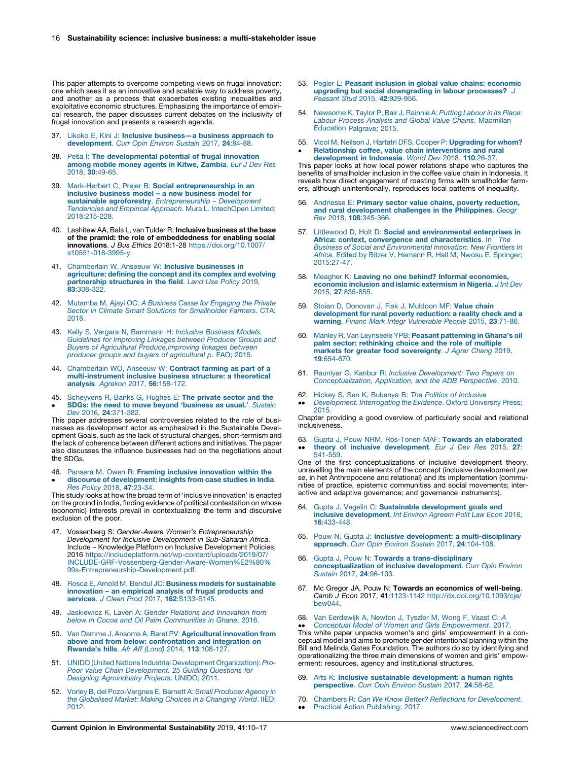<span id="page-7-0"></span>This paper attempts to overcome competing views on frugal innovation: one which sees it as an innovative and scalable way to address poverty, and another as a process that exacerbates existing inequalities and exploitative economic structures. Emphasizing the importance of empirical research, the paper discusses current debates on the inclusivity of frugal innovation and presents a research agenda.

- 37. Likoko E, Kini J: Inclusive [business—a](http://refhub.elsevier.com/S1877-3435(19)30063-6/sbref0185) business approach to [development](http://refhub.elsevier.com/S1877-3435(19)30063-6/sbref0185). Curr Opin Environ Sustain 2017, 24:84-88.
- 38. Peša I: The [developmental](http://refhub.elsevier.com/S1877-3435(19)30063-6/sbref0190) potential of frugal innovation among mobile money agents in Kitwe, [Zambia](http://refhub.elsevier.com/S1877-3435(19)30063-6/sbref0190). Eur J Dev Res 2018, 30[:49-65.](http://refhub.elsevier.com/S1877-3435(19)30063-6/sbref0190)
- 39. Mark-Herbert C, Prejer B: Social [entrepreneurship](http://refhub.elsevier.com/S1877-3435(19)30063-6/sbref0195) in an inclusive business model – a new [business](http://refhub.elsevier.com/S1877-3435(19)30063-6/sbref0195) model for sustainable agroforestry. [Entrepreneurship](http://refhub.elsevier.com/S1877-3435(19)30063-6/sbref0195) - Development Tendencies and Empirical Approach. Mura L. [IntechOpen](http://refhub.elsevier.com/S1877-3435(19)30063-6/sbref0195) Limited; [2018:215-228.](http://refhub.elsevier.com/S1877-3435(19)30063-6/sbref0195)
- 40. Lashitew AA, Bals L, van Tulder R: Inclusive business at the base of the pramid: the role of embeddedness for enabling social innovations. J Bus Ethics 2018:1-28 [https://doi.org/10.1007/](https://doi.org/10.1007/s10551-018-3995-y) [s10551-018-3995-y.](https://doi.org/10.1007/s10551-018-3995-y)
- 41. [Chamberlain](http://refhub.elsevier.com/S1877-3435(19)30063-6/sbref0205) W, Anseeuw W: Inclusive businesses in [agriculture:](http://refhub.elsevier.com/S1877-3435(19)30063-6/sbref0205) defining the concept and its complex and evolving [partnership](http://refhub.elsevier.com/S1877-3435(19)30063-6/sbref0205) structures in the field. Land Use Policy 2019, 83[:308-322.](http://refhub.elsevier.com/S1877-3435(19)30063-6/sbref0205)
- 42. [Mutamba](http://refhub.elsevier.com/S1877-3435(19)30063-6/sbref0210) M, Ajayi OC: A Business Casse for Engaging the Private Sector in Climate Smart Solutions for [Smallholder](http://refhub.elsevier.com/S1877-3435(19)30063-6/sbref0210) Farmers. CTA; [2018.](http://refhub.elsevier.com/S1877-3435(19)30063-6/sbref0210)
- 43. Kelly S, Vergara N, [Bammann](http://refhub.elsevier.com/S1877-3435(19)30063-6/sbref0215) H: Inclusive Business Models. [Guidelines](http://refhub.elsevier.com/S1877-3435(19)30063-6/sbref0215) for Improving Linkages between Producer Groups and Buyers of Agricultural Produce, improving linkages between producer groups and buyers of [agricultural](http://refhub.elsevier.com/S1877-3435(19)30063-6/sbref0215) p. FAO; 2015.
- 44. [Chamberlain](http://refhub.elsevier.com/S1877-3435(19)30063-6/sbref0220) WO, Anseeuw W: Contract farming as part of a [multi-instrument](http://refhub.elsevier.com/S1877-3435(19)30063-6/sbref0220) inclusive business structure: a theoretical analysis. Agrekon 2017, 56[:158-172.](http://refhub.elsevier.com/S1877-3435(19)30063-6/sbref0220)
- 45.  $\bullet$ [Scheyvens](http://refhub.elsevier.com/S1877-3435(19)30063-6/sbref0225) R, Banks G, Hughes E: The private sector and the SDGs: the need to move beyond ['business](http://refhub.elsevier.com/S1877-3435(19)30063-6/sbref0225) as usual.'. Sustain Dev 2016, 24[:371-382.](http://refhub.elsevier.com/S1877-3435(19)30063-6/sbref0225)

This paper addresses several controversies related to the role of businesses as development actor as emphasized in the Sustainable Development Goals, such as the lack of structural changes, short-termism and the lack of coherence between different actions and initiatives. The paper also discusses the influence businesses had on the negotiations about the SDGs.

46.  $\bullet$ Pansera M, Owen R: Framing inclusive [innovation](http://refhub.elsevier.com/S1877-3435(19)30063-6/sbref0230) within the discourse of [development:](http://refhub.elsevier.com/S1877-3435(19)30063-6/sbref0230) insights from case studies in India. Res Policy 2018, 47[:23-34.](http://refhub.elsevier.com/S1877-3435(19)30063-6/sbref0230)

This study looks at how the broad term of 'inclusive innovation' is enacted on the ground in India, finding evidence of political contestation on whose (economic) interests prevail in contextualizing the term and discursive exclusion of the poor.

- 47. Vossenberg S: Gender-Aware Women's Entrepreneurship Development for Inclusive Development in Sub-Saharan Africa. Include – Knowledge Platform on Inclusive Development Policies; 2016 [https://includeplatform.net/wp-content/uploads/2019/07/](https://includeplatform.net/wp-content/uploads/2019/07/INCLUDE-GRF-Vossenberg-Gender-Aware-Women%E2%80%99s-Entrepreneurship-Development.pdf) [INCLUDE-GRF-Vossenberg-Gender-Aware-Women%E2%80%](https://includeplatform.net/wp-content/uploads/2019/07/INCLUDE-GRF-Vossenberg-Gender-Aware-Women%E2%80%99s-Entrepreneurship-Development.pdf) [99s-Entrepreneurship-Development.pdf.](https://includeplatform.net/wp-content/uploads/2019/07/INCLUDE-GRF-Vossenberg-Gender-Aware-Women%E2%80%99s-Entrepreneurship-Development.pdf)
- 48. Rosca E, Arnold M, Bendul JC: Business models for [sustainable](http://refhub.elsevier.com/S1877-3435(19)30063-6/sbref0240) [innovation](http://refhub.elsevier.com/S1877-3435(19)30063-6/sbref0240) – an empirical analysis of frugal products and services. J Clean Prod 2017, 162[:S133-S145.](http://refhub.elsevier.com/S1877-3435(19)30063-6/sbref0240)
- 49. [Jaskiewicz](http://refhub.elsevier.com/S1877-3435(19)30063-6/sbref0245) K, Laven A: Gender Relations and Innovation from below in Cocoa and Oil Palm [Communities](http://refhub.elsevier.com/S1877-3435(19)30063-6/sbref0245) in Ghana. 2016.
- 50. Van Damme J, Ansoms A, Baret PV: [Agricultural](http://refhub.elsevier.com/S1877-3435(19)30063-6/sbref0250) innovation from above and from below: [confrontation](http://refhub.elsevier.com/S1877-3435(19)30063-6/sbref0250) and integration on [Rwanda's](http://refhub.elsevier.com/S1877-3435(19)30063-6/sbref0250) hills. Afr Aff (Lond) 2014, 113:108-127.
- 51. UNIDO (United Nations Industrial Development [Organization\):](http://refhub.elsevier.com/S1877-3435(19)30063-6/sbref0255) Pro-Poor Value Chain [Development.](http://refhub.elsevier.com/S1877-3435(19)30063-6/sbref0255) 25 Guiding Questions for Designing [Agroindustry](http://refhub.elsevier.com/S1877-3435(19)30063-6/sbref0255) Projects. UNIDO; 2011.
- 52. Vorley B, del [Pozo-Vergnes](http://refhub.elsevier.com/S1877-3435(19)30063-6/sbref0260) E, Barnett A: Small Producer Agency in the [Globalised](http://refhub.elsevier.com/S1877-3435(19)30063-6/sbref0260) Market: Making Choices in a Changing World. IIED; [2012.](http://refhub.elsevier.com/S1877-3435(19)30063-6/sbref0260)
- 53. Pegler L: Peasant inclusion in global value chains: [economic](http://refhub.elsevier.com/S1877-3435(19)30063-6/sbref0265) upgrading but social [downgrading](http://refhub.elsevier.com/S1877-3435(19)30063-6/sbref0265) in labour processes? J Peasant Stud 2015, 42[:929-956.](http://refhub.elsevier.com/S1877-3435(19)30063-6/sbref0265)
- 54. [Newsome](http://refhub.elsevier.com/S1877-3435(19)30063-6/sbref0270) K, Taylor P, Bair J, Rainnie A: Putting Labour in its Place: Labour Process Analysis and Global Value Chains. [Macmillan](http://refhub.elsevier.com/S1877-3435(19)30063-6/sbref0270) [Education](http://refhub.elsevier.com/S1877-3435(19)30063-6/sbref0270) Palgrave; 2015.
- 55. Vicol M, Neilson J, Hartatri DFS, Cooper P: [Upgrading](http://refhub.elsevier.com/S1877-3435(19)30063-6/sbref0275) for whom?  $\cdot$ Relationship coffee, value chain [interventions](http://refhub.elsevier.com/S1877-3435(19)30063-6/sbref0275) and rural [development](http://refhub.elsevier.com/S1877-3435(19)30063-6/sbref0275) in Indonesia. World Dev 2018, 110:26-37.

This paper looks at how local power relations shape who captures the benefits of smallholder inclusion in the coffee value chain in Indonesia. It reveals how direct engagement of roasting firms with smallholder farmers, although unintentionally, reproduces local patterns of inequality.

- Andriesse E: Primary sector value chains, poverty [reduction,](http://refhub.elsevier.com/S1877-3435(19)30063-6/sbref0280) and rural [development](http://refhub.elsevier.com/S1877-3435(19)30063-6/sbref0280) challenges in the Philippines. Geogr Rev 2018, 108[:345-366.](http://refhub.elsevier.com/S1877-3435(19)30063-6/sbref0280)
- 57. Littlewood D, Holt D: Social and [environmental](http://refhub.elsevier.com/S1877-3435(19)30063-6/sbref0285) enterprises in Africa: context, convergence and [characteristics](http://refhub.elsevier.com/S1877-3435(19)30063-6/sbref0285). In The Business of Social and [Environmental](http://refhub.elsevier.com/S1877-3435(19)30063-6/sbref0285) Innovation: New Frontiers In Africa. Edited by Bitzer V, Hamann R, Hall M, Nwosu E. [Springer;](http://refhub.elsevier.com/S1877-3435(19)30063-6/sbref0285) [2015:27-47.](http://refhub.elsevier.com/S1877-3435(19)30063-6/sbref0285)
- 58. Meagher K: Leaving no one behind? Informal [economies,](http://refhub.elsevier.com/S1877-3435(19)30063-6/sbref0290) economic inclusion and islamic [extermism](http://refhub.elsevier.com/S1877-3435(19)30063-6/sbref0290) in Nigeria. J Int Dev 2015, 27[:835-855.](http://refhub.elsevier.com/S1877-3435(19)30063-6/sbref0290)
- Stoian D, [Donovan](http://refhub.elsevier.com/S1877-3435(19)30063-6/sbref0295) J, Fisk J, Muldoon MF: Value chain [development](http://refhub.elsevier.com/S1877-3435(19)30063-6/sbref0295) for rural poverty reduction: a reality check and a warning. Financ Mark Integr [Vulnerable](http://refhub.elsevier.com/S1877-3435(19)30063-6/sbref0295) People 2015, 23:71-86.
- 60. Manley R, Van Leynseele YPB: Peasant [patterning](http://refhub.elsevier.com/S1877-3435(19)30063-6/sbref0300) in Ghana's oil palm sector: [rethinking](http://refhub.elsevier.com/S1877-3435(19)30063-6/sbref0300) choice and the role of multiple markets for greater food [sovereignty](http://refhub.elsevier.com/S1877-3435(19)30063-6/sbref0300). J Agrar Chang 2019, 19[:654-670.](http://refhub.elsevier.com/S1877-3435(19)30063-6/sbref0300)
- 61. Rauniyar G, Kanbur R: Inclusive [Development:](http://refhub.elsevier.com/S1877-3435(19)30063-6/sbref0305) Two Papers on [Conceptualization,](http://refhub.elsevier.com/S1877-3435(19)30063-6/sbref0305) Application, and the ADB Perspective. 2010.
- 62. Hickey S, Sen K, [Bukenya](http://refhub.elsevier.com/S1877-3435(19)30063-6/sbref0310) B: The Politics of Inclusive  $\bullet\bullet$ [Development.](http://refhub.elsevier.com/S1877-3435(19)30063-6/sbref0310) Interrogating the Evidence. Oxford University Press;

[2015.](http://refhub.elsevier.com/S1877-3435(19)30063-6/sbref0310) Chapter providing a good overview of particularly social and relational inclusiveness.

63. Gupta J, Pouw NRM, Ros-Tonen MAF: Towards an [elaborated](http://refhub.elsevier.com/S1877-3435(19)30063-6/sbref0315)  $\bullet\bullet$ theory of inclusive [development](http://refhub.elsevier.com/S1877-3435(19)30063-6/sbref0315). Eur J Dev Res 2015, 27:<br>[541-559.](http://refhub.elsevier.com/S1877-3435(19)30063-6/sbref0315)

One of the first conceptualizations of inclusive development theory, unravelling the main elements of the concept (inclusive development per se, in het Anthropocene and relational) and its implementation (communities of practice, epistemic communities and social movements; interactive and adaptive governance; and governance instruments).

- Gupta J, Vegelin C: Sustainable [development](http://refhub.elsevier.com/S1877-3435(19)30063-6/sbref0320) goals and inclusive [development](http://refhub.elsevier.com/S1877-3435(19)30063-6/sbref0320). Int Environ Agreem Polit Law Econ 2016, 16[:433-448.](http://refhub.elsevier.com/S1877-3435(19)30063-6/sbref0320)
- 65. Pouw N, Gupta J: Inclusive development: a [multi-disciplinary](http://refhub.elsevier.com/S1877-3435(19)30063-6/sbref0325) [approach](http://refhub.elsevier.com/S1877-3435(19)30063-6/sbref0325). Curr Opin Environ Sustain 2017, 24:104-108.
- 66. Gupta J, Pouw N: Towards a [trans-disciplinary](http://refhub.elsevier.com/S1877-3435(19)30063-6/sbref0330) [conceptualization](http://refhub.elsevier.com/S1877-3435(19)30063-6/sbref0330) of inclusive development. Curr Opin Environ Sustain 2017, 24[:96-103.](http://refhub.elsevier.com/S1877-3435(19)30063-6/sbref0330)
- 67. Mc Gregor JA, Pouw N: Towards an economics of well-being. Camb J Econ 2017, 41:1123-1142 [http://dx.doi.org/10.1093/cje/](http://dx.doi.org/10.1093/cje/bew044) [bew044](http://dx.doi.org/10.1093/cje/bew044).
- 68. Van [Eerdewijk](http://refhub.elsevier.com/S1877-3435(19)30063-6/sbref0340) A, Newton J, Tyszler M, Wong F, Vaast C: A

• Conceptual Model of Women and Girls Empowerment. 2017.<br>This white paper unpacks women's and girls' empowerment in a con-Conceptual Model of Women and Girls [Empowerment](http://refhub.elsevier.com/S1877-3435(19)30063-6/sbref0340). 2017. ceptual model and aims to promote gender intentional planning within the Bill and Melinda Gates Foundation. The authors do so by identifying and operationalizing the three main dimensions of women and girls' empowerment: resources, agency and institutional structures.

- 69. Arts K: Inclusive sustainable [development:](http://refhub.elsevier.com/S1877-3435(19)30063-6/sbref0345) a human rights [perspective](http://refhub.elsevier.com/S1877-3435(19)30063-6/sbref0345). Curr Opin Environ Sustain 2017, 24:58-62.
- 70. Chambers R: Can We Know Better? Reflections for [Development](http://refhub.elsevier.com/S1877-3435(19)30063-6/sbref0350).  $\bullet$ Practical Action [Publishing;](http://refhub.elsevier.com/S1877-3435(19)30063-6/sbref0350) 2017.